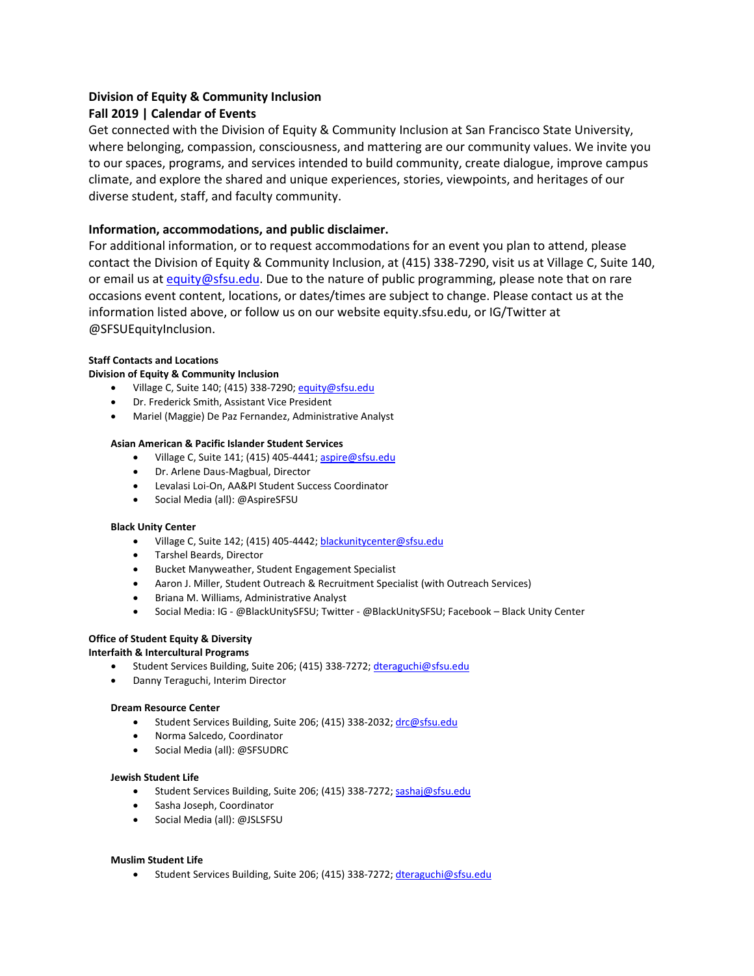# **Division of Equity & Community Inclusion**

# **Fall 2019 | Calendar of Events**

Get connected with the Division of Equity & Community Inclusion at San Francisco State University, where belonging, compassion, consciousness, and mattering are our community values. We invite you to our spaces, programs, and services intended to build community, create dialogue, improve campus climate, and explore the shared and unique experiences, stories, viewpoints, and heritages of our diverse student, staff, and faculty community.

### **Information, accommodations, and public disclaimer.**

For additional information, or to request accommodations for an event you plan to attend, please contact the Division of Equity & Community Inclusion, at (415) 338-7290, visit us at Village C, Suite 140, or email us at [equity@sfsu.edu.](mailto:equity@sfsu.edu) Due to the nature of public programming, please note that on rare occasions event content, locations, or dates/times are subject to change. Please contact us at the information listed above, or follow us on our website equity.sfsu.edu, or IG/Twitter at @SFSUEquityInclusion.

#### **Staff Contacts and Locations**

#### **Division of Equity & Community Inclusion**

- Village C, Suite 140; (415) 338-7290[; equity@sfsu.edu](mailto:equity@sfsu.edu)
- Dr. Frederick Smith, Assistant Vice President
- Mariel (Maggie) De Paz Fernandez, Administrative Analyst

#### **Asian American & Pacific Islander Student Services**

- Village C, Suite 141; (415) 405-4441[; aspire@sfsu.edu](mailto:aspire@sfsu.edu)
- Dr. Arlene Daus-Magbual, Director
- Levalasi Loi-On, AA&PI Student Success Coordinator
- Social Media (all): @AspireSFSU

#### **Black Unity Center**

- Village C, Suite 142; (415) 405-4442[; blackunitycenter@sfsu.edu](mailto:blackunitycenter@sfsu.edu)
- Tarshel Beards, Director
- Bucket Manyweather, Student Engagement Specialist
- Aaron J. Miller, Student Outreach & Recruitment Specialist (with Outreach Services)
- Briana M. Williams, Administrative Analyst
- Social Media: IG @BlackUnitySFSU; Twitter @BlackUnitySFSU; Facebook Black Unity Center

### **Office of Student Equity & Diversity**

#### **Interfaith & Intercultural Programs**

- Student Services Building, Suite 206; (415) 338-7272[; dteraguchi@sfsu.edu](mailto:dteraguchi@sfsu.edu)
- Danny Teraguchi, Interim Director

#### **Dream Resource Center**

- Student Services Building, Suite 206; (415) 338-2032[; drc@sfsu.edu](mailto:drc@sfsu.edu)
- Norma Salcedo, Coordinator
- Social Media (all): @SFSUDRC

#### **Jewish Student Life**

- Student Services Building, Suite 206; (415) 338-7272[; sashaj@sfsu.edu](mailto:sashaj@sfsu.edu)
- Sasha Joseph, Coordinator
- Social Media (all): @JSLSFSU

#### **Muslim Student Life**

• Student Services Building, Suite 206; (415) 338-7272[; dteraguchi@sfsu.edu](mailto:dteraguchi@sfsu.edu)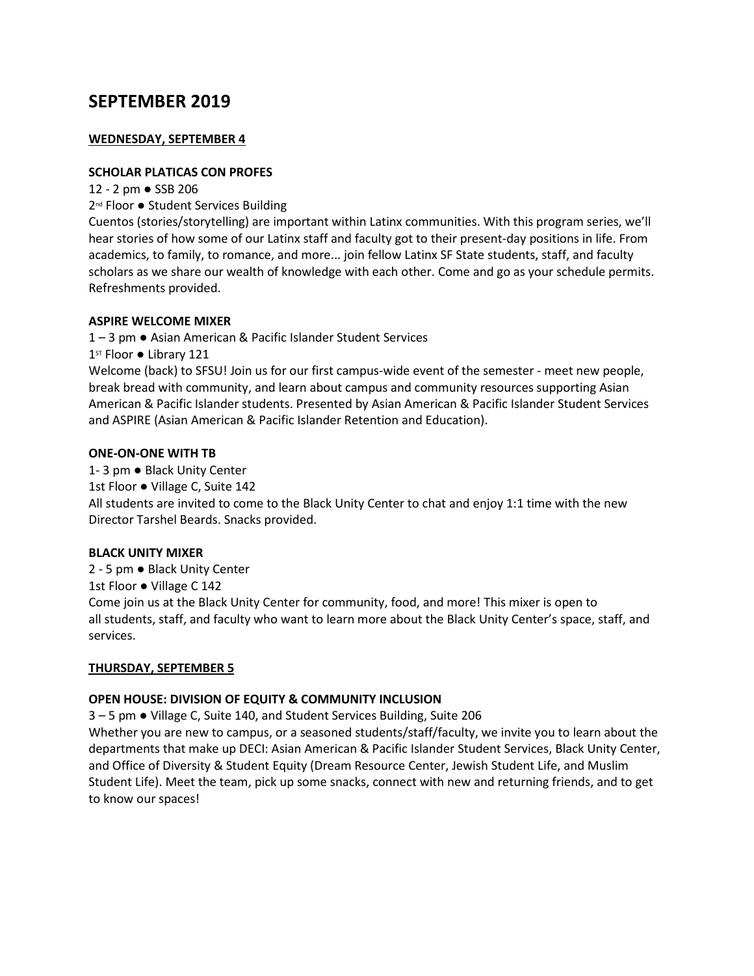# **SEPTEMBER 2019**

# **WEDNESDAY, SEPTEMBER 4**

# **SCHOLAR PLATICAS CON PROFES**

12 - 2 pm ● SSB 206

2<sup>nd</sup> Floor ● Student Services Building

Cuentos (stories/storytelling) are important within Latinx communities. With this program series, we'll hear stories of how some of our Latinx staff and faculty got to their present-day positions in life. From academics, to family, to romance, and more... join fellow Latinx SF State students, staff, and faculty scholars as we share our wealth of knowledge with each other. Come and go as your schedule permits. Refreshments provided.

# **ASPIRE WELCOME MIXER**

1 – 3 pm ● Asian American & Pacific Islander Student Services

1st Floor ● Library 121

Welcome (back) to SFSU! Join us for our first campus-wide event of the semester - meet new people, break bread with community, and learn about campus and community resources supporting Asian American & Pacific Islander students. Presented by Asian American & Pacific Islander Student Services and ASPIRE (Asian American & Pacific Islander Retention and Education).

### **ONE-ON-ONE WITH TB**

1- 3 pm ● Black Unity Center 1st Floor ● Village C, Suite 142 All students are invited to come to the Black Unity Center to chat and enjoy 1:1 time with the new Director Tarshel Beards. Snacks provided.

# **BLACK UNITY MIXER**

2 - 5 pm ● Black Unity Center 1st Floor ● Village C 142 Come join us at the Black Unity Center for community, food, and more! This mixer is open to all students, staff, and faculty who want to learn more about the Black Unity Center's space, staff, and services.

# **THURSDAY, SEPTEMBER 5**

# **OPEN HOUSE: DIVISION OF EQUITY & COMMUNITY INCLUSION**

3 – 5 pm ● Village C, Suite 140, and Student Services Building, Suite 206

Whether you are new to campus, or a seasoned students/staff/faculty, we invite you to learn about the departments that make up DECI: Asian American & Pacific Islander Student Services, Black Unity Center, and Office of Diversity & Student Equity (Dream Resource Center, Jewish Student Life, and Muslim Student Life). Meet the team, pick up some snacks, connect with new and returning friends, and to get to know our spaces!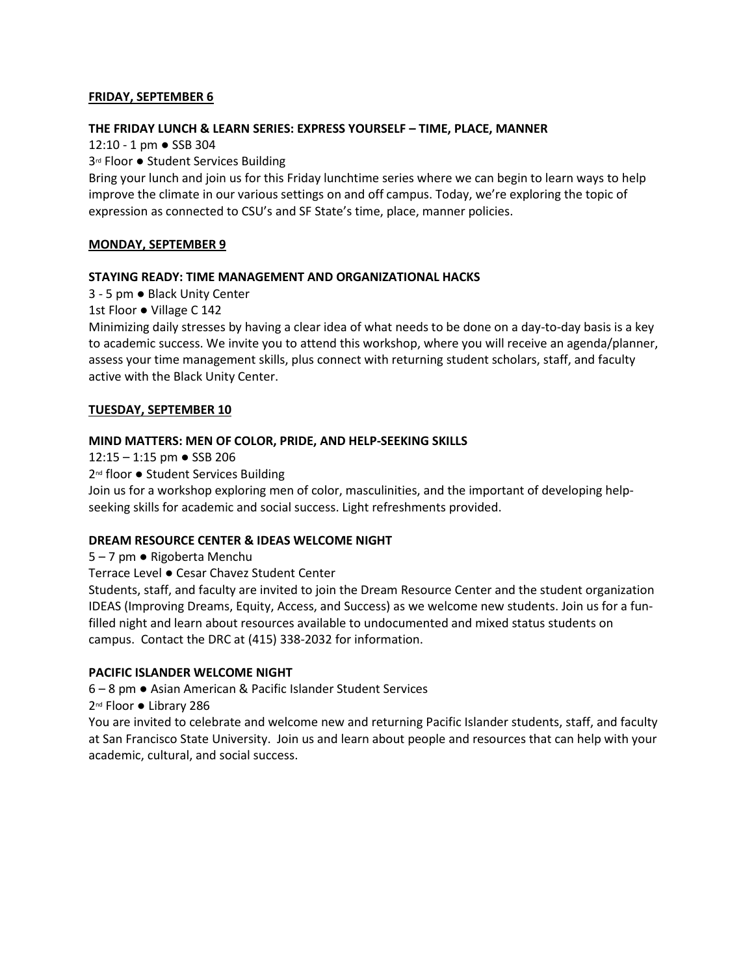### **FRIDAY, SEPTEMBER 6**

#### **THE FRIDAY LUNCH & LEARN SERIES: EXPRESS YOURSELF – TIME, PLACE, MANNER**

12:10 - 1 pm ● SSB 304

3<sup>rd</sup> Floor ● Student Services Building

Bring your lunch and join us for this Friday lunchtime series where we can begin to learn ways to help improve the climate in our various settings on and off campus. Today, we're exploring the topic of expression as connected to CSU's and SF State's time, place, manner policies.

### **MONDAY, SEPTEMBER 9**

### **STAYING READY: TIME MANAGEMENT AND ORGANIZATIONAL HACKS**

3 - 5 pm ● Black Unity Center

1st Floor ● Village C 142

Minimizing daily stresses by having a clear idea of what needs to be done on a day-to-day basis is a key to academic success. We invite you to attend this workshop, where you will receive an agenda/planner, assess your time management skills, plus connect with returning student scholars, staff, and faculty active with the Black Unity Center.

### **TUESDAY, SEPTEMBER 10**

#### **MIND MATTERS: MEN OF COLOR, PRIDE, AND HELP-SEEKING SKILLS**

12:15 – 1:15 pm  $\bullet$  SSB 206

2<sup>nd</sup> floor ● Student Services Building

Join us for a workshop exploring men of color, masculinities, and the important of developing helpseeking skills for academic and social success. Light refreshments provided.

### **DREAM RESOURCE CENTER & IDEAS WELCOME NIGHT**

5 – 7 pm ● Rigoberta Menchu

Terrace Level ● Cesar Chavez Student Center

Students, staff, and faculty are invited to join the Dream Resource Center and the student organization IDEAS (Improving Dreams, Equity, Access, and Success) as we welcome new students. Join us for a funfilled night and learn about resources available to undocumented and mixed status students on campus. Contact the DRC at (415) 338-2032 for information.

### **PACIFIC ISLANDER WELCOME NIGHT**

6 – 8 pm ● Asian American & Pacific Islander Student Services

2<sup>nd</sup> Floor ● Library 286

You are invited to celebrate and welcome new and returning Pacific Islander students, staff, and faculty at San Francisco State University. Join us and learn about people and resources that can help with your academic, cultural, and social success.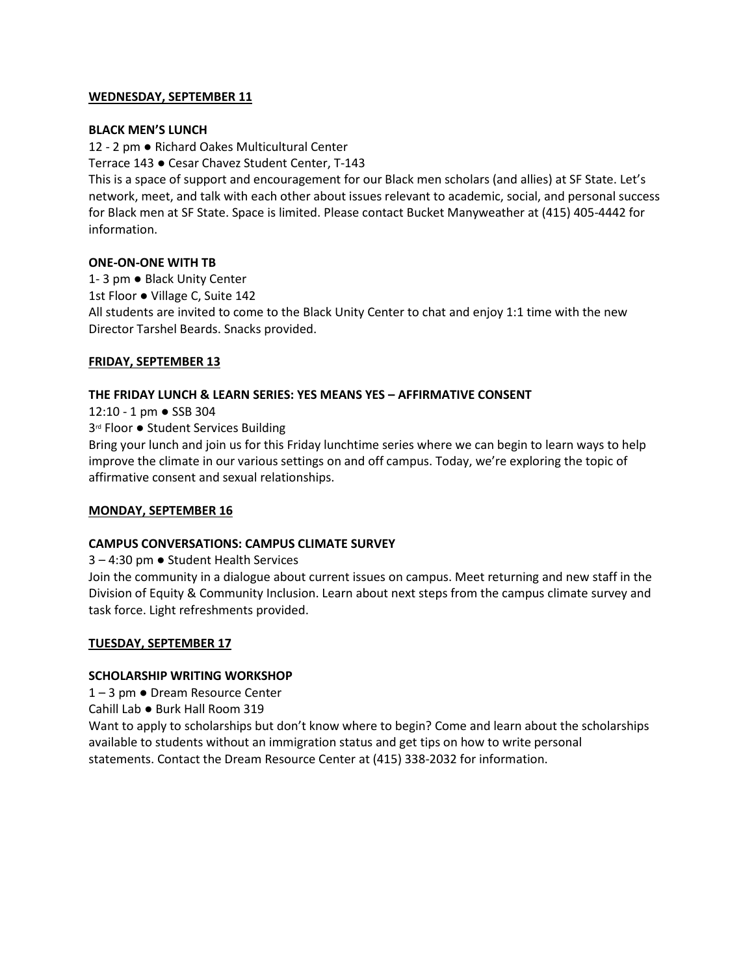### **WEDNESDAY, SEPTEMBER 11**

### **BLACK MEN'S LUNCH**

12 - 2 pm ● Richard Oakes Multicultural Center

Terrace 143 ● Cesar Chavez Student Center, T-143

This is a space of support and encouragement for our Black men scholars (and allies) at SF State. Let's network, meet, and talk with each other about issues relevant to academic, social, and personal success for Black men at SF State. Space is limited. Please contact Bucket Manyweather at (415) 405-4442 for information.

### **ONE-ON-ONE WITH TB**

1- 3 pm ● Black Unity Center 1st Floor ● Village C, Suite 142 All students are invited to come to the Black Unity Center to chat and enjoy 1:1 time with the new Director Tarshel Beards. Snacks provided.

# **FRIDAY, SEPTEMBER 13**

# **THE FRIDAY LUNCH & LEARN SERIES: YES MEANS YES – AFFIRMATIVE CONSENT**

12:10 - 1 pm ● SSB 304

3<sup>rd</sup> Floor ● Student Services Building

Bring your lunch and join us for this Friday lunchtime series where we can begin to learn ways to help improve the climate in our various settings on and off campus. Today, we're exploring the topic of affirmative consent and sexual relationships.

# **MONDAY, SEPTEMBER 16**

# **CAMPUS CONVERSATIONS: CAMPUS CLIMATE SURVEY**

3 – 4:30 pm ● Student Health Services

Join the community in a dialogue about current issues on campus. Meet returning and new staff in the Division of Equity & Community Inclusion. Learn about next steps from the campus climate survey and task force. Light refreshments provided.

# **TUESDAY, SEPTEMBER 17**

# **SCHOLARSHIP WRITING WORKSHOP**

1 – 3 pm ● Dream Resource Center

Cahill Lab ● Burk Hall Room 319

Want to apply to scholarships but don't know where to begin? Come and learn about the scholarships available to students without an immigration status and get tips on how to write personal statements. Contact the Dream Resource Center at (415) 338-2032 for information.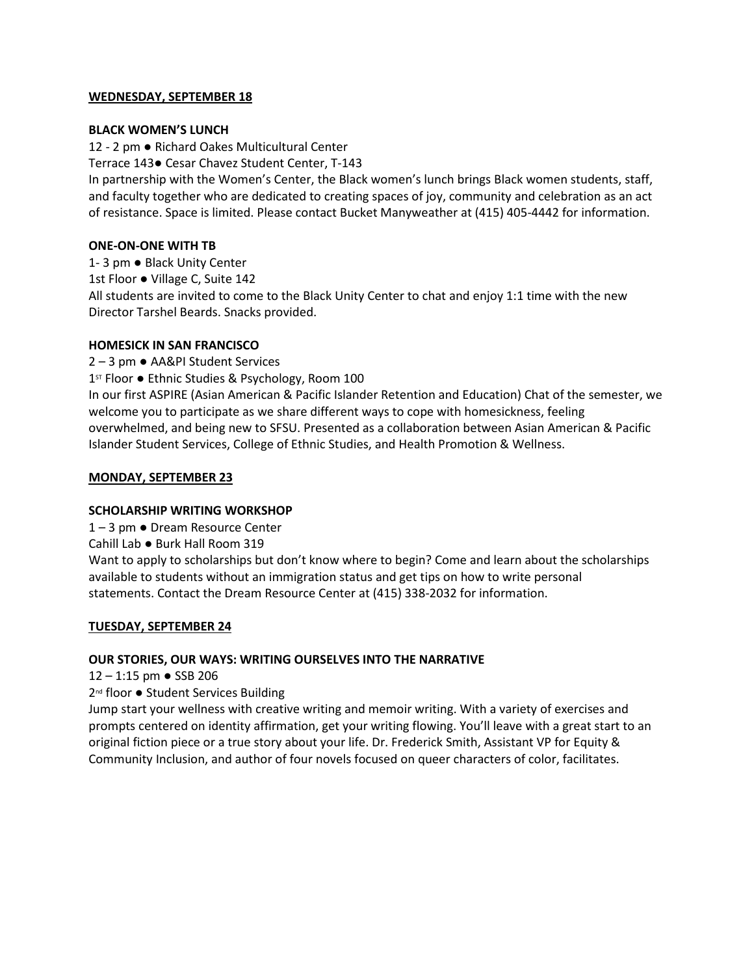### **WEDNESDAY, SEPTEMBER 18**

### **BLACK WOMEN'S LUNCH**

12 - 2 pm ● Richard Oakes Multicultural Center

Terrace 143● Cesar Chavez Student Center, T-143

In partnership with the Women's Center, the Black women's lunch brings Black women students, staff, and faculty together who are dedicated to creating spaces of joy, community and celebration as an act of resistance. Space is limited. Please contact Bucket Manyweather at (415) 405-4442 for information.

### **ONE-ON-ONE WITH TB**

1- 3 pm ● Black Unity Center

1st Floor ● Village C, Suite 142

All students are invited to come to the Black Unity Center to chat and enjoy 1:1 time with the new Director Tarshel Beards. Snacks provided.

### **HOMESICK IN SAN FRANCISCO**

2 – 3 pm ● AA&PI Student Services

1<sup>st</sup> Floor ● Ethnic Studies & Psychology, Room 100

In our first ASPIRE (Asian American & Pacific Islander Retention and Education) Chat of the semester, we welcome you to participate as we share different ways to cope with homesickness, feeling overwhelmed, and being new to SFSU. Presented as a collaboration between Asian American & Pacific Islander Student Services, College of Ethnic Studies, and Health Promotion & Wellness.

### **MONDAY, SEPTEMBER 23**

# **SCHOLARSHIP WRITING WORKSHOP**

1 – 3 pm ● Dream Resource Center

Cahill Lab ● Burk Hall Room 319

Want to apply to scholarships but don't know where to begin? Come and learn about the scholarships available to students without an immigration status and get tips on how to write personal statements. Contact the Dream Resource Center at (415) 338-2032 for information.

# **TUESDAY, SEPTEMBER 24**

# **OUR STORIES, OUR WAYS: WRITING OURSELVES INTO THE NARRATIVE**

12 – 1:15 pm ● SSB 206

2<sup>nd</sup> floor ● Student Services Building

Jump start your wellness with creative writing and memoir writing. With a variety of exercises and prompts centered on identity affirmation, get your writing flowing. You'll leave with a great start to an original fiction piece or a true story about your life. Dr. Frederick Smith, Assistant VP for Equity & Community Inclusion, and author of four novels focused on queer characters of color, facilitates.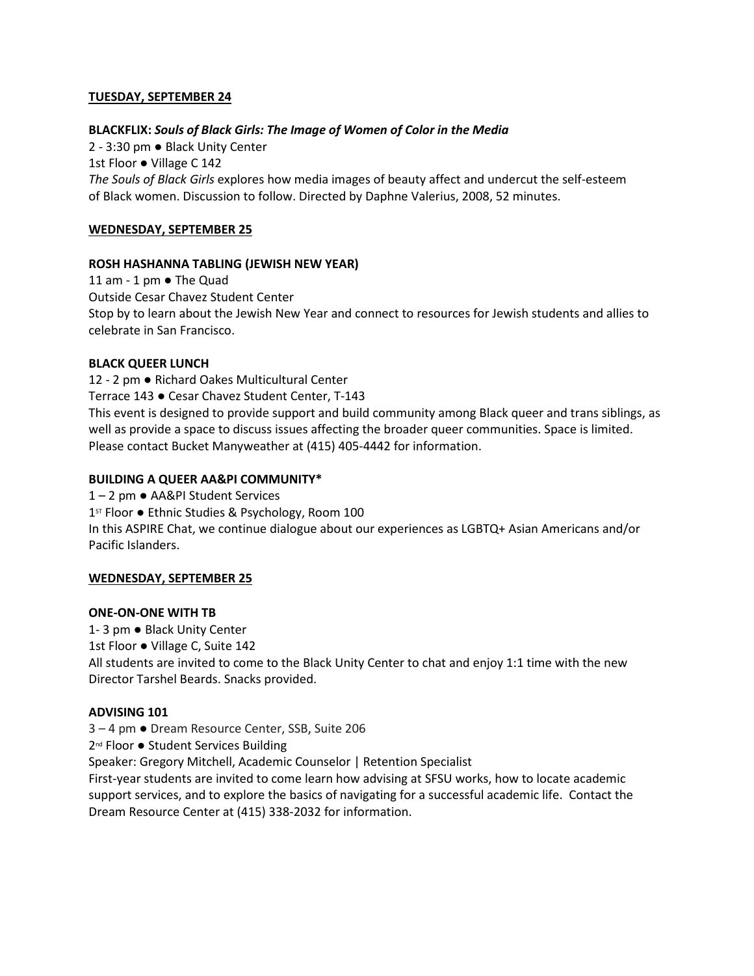# **TUESDAY, SEPTEMBER 24**

### **BLACKFLIX:** *Souls of Black Girls: The Image of Women of Color in the Media*

2 - 3:30 pm ● Black Unity Center 1st Floor ● Village C 142 *The Souls of Black Girls* explores how media images of beauty affect and undercut the self-esteem of Black women. Discussion to follow. Directed by Daphne Valerius, 2008, 52 minutes.

### **WEDNESDAY, SEPTEMBER 25**

### **ROSH HASHANNA TABLING (JEWISH NEW YEAR)**

11 am - 1 pm ● The Quad Outside Cesar Chavez Student Center Stop by to learn about the Jewish New Year and connect to resources for Jewish students and allies to celebrate in San Francisco.

### **BLACK QUEER LUNCH**

12 - 2 pm ● Richard Oakes Multicultural Center Terrace 143 ● Cesar Chavez Student Center, T-143 This event is designed to provide support and build community among Black queer and trans siblings, as well as provide a space to discuss issues affecting the broader queer communities. Space is limited. Please contact Bucket Manyweather at (415) 405-4442 for information.

### **BUILDING A QUEER AA&PI COMMUNITY\***

1 – 2 pm ● AA&PI Student Services 1<sup>st</sup> Floor ● Ethnic Studies & Psychology, Room 100 In this ASPIRE Chat, we continue dialogue about our experiences as LGBTQ+ Asian Americans and/or Pacific Islanders.

# **WEDNESDAY, SEPTEMBER 25**

### **ONE-ON-ONE WITH TB**

1- 3 pm ● Black Unity Center

1st Floor ● Village C, Suite 142

All students are invited to come to the Black Unity Center to chat and enjoy 1:1 time with the new Director Tarshel Beards. Snacks provided.

### **ADVISING 101**

3 – 4 pm ● Dream Resource Center, SSB, Suite 206

2<sup>nd</sup> Floor ● Student Services Building

Speaker: Gregory Mitchell, Academic Counselor | Retention Specialist

First-year students are invited to come learn how advising at SFSU works, how to locate academic support services, and to explore the basics of navigating for a successful academic life. Contact the Dream Resource Center at (415) 338-2032 for information.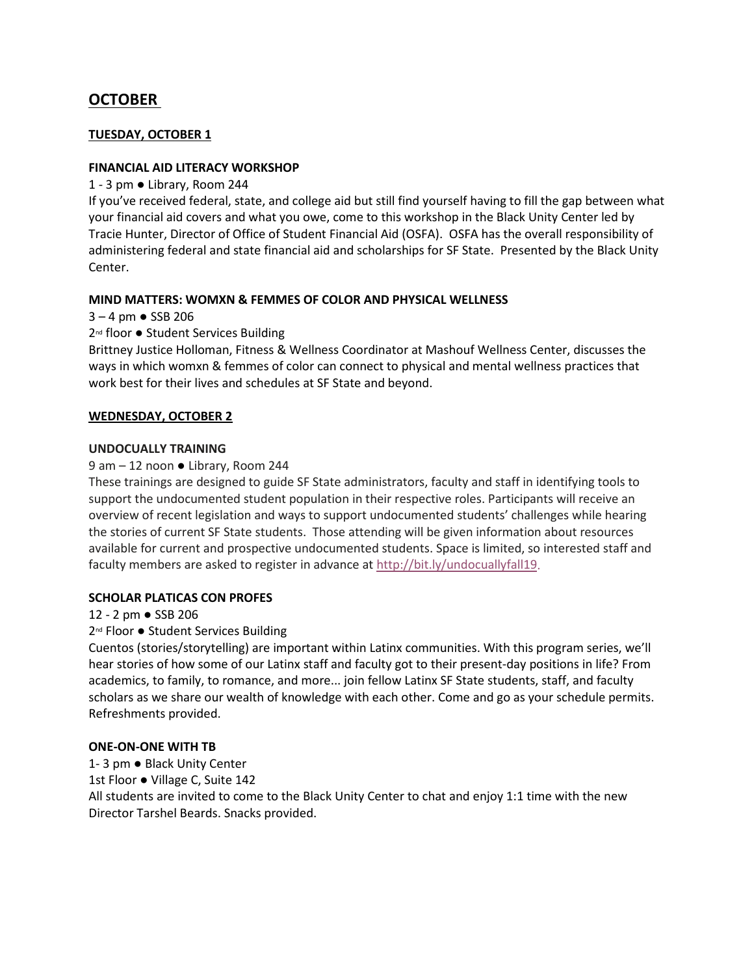# **OCTOBER**

# **TUESDAY, OCTOBER 1**

# **FINANCIAL AID LITERACY WORKSHOP**

# 1 - 3 pm ● Library, Room 244

If you've received federal, state, and college aid but still find yourself having to fill the gap between what your financial aid covers and what you owe, come to this workshop in the Black Unity Center led by Tracie Hunter, Director of Office of Student Financial Aid (OSFA). OSFA has the overall responsibility of administering federal and state financial aid and scholarships for SF State. Presented by the Black Unity Center.

# **MIND MATTERS: WOMXN & FEMMES OF COLOR AND PHYSICAL WELLNESS**

 $3 - 4$  pm  $\bullet$  SSB 206

2<sup>nd</sup> floor ● Student Services Building

Brittney Justice Holloman, Fitness & Wellness Coordinator at Mashouf Wellness Center, discusses the ways in which womxn & femmes of color can connect to physical and mental wellness practices that work best for their lives and schedules at SF State and beyond.

# **WEDNESDAY, OCTOBER 2**

# **UNDOCUALLY TRAINING**

# 9 am – 12 noon ● Library, Room 244

These trainings are designed to guide SF State administrators, faculty and staff in identifying tools to support the undocumented student population in their respective roles. Participants will receive an overview of recent legislation and ways to support undocumented students' challenges while hearing the stories of current SF State students. Those attending will be given information about resources available for current and prospective undocumented students. Space is limited, so interested staff and faculty members are asked to register in advance at [http://bit.ly/undocuallyfall19.](http://bit.ly/undocuallyfall19)

# **SCHOLAR PLATICAS CON PROFES**

12 - 2 pm ● SSB 206

# 2<sup>nd</sup> Floor ● Student Services Building

Cuentos (stories/storytelling) are important within Latinx communities. With this program series, we'll hear stories of how some of our Latinx staff and faculty got to their present-day positions in life? From academics, to family, to romance, and more... join fellow Latinx SF State students, staff, and faculty scholars as we share our wealth of knowledge with each other. Come and go as your schedule permits. Refreshments provided.

# **ONE-ON-ONE WITH TB**

1- 3 pm ● Black Unity Center 1st Floor ● Village C, Suite 142 All students are invited to come to the Black Unity Center to chat and enjoy 1:1 time with the new Director Tarshel Beards. Snacks provided.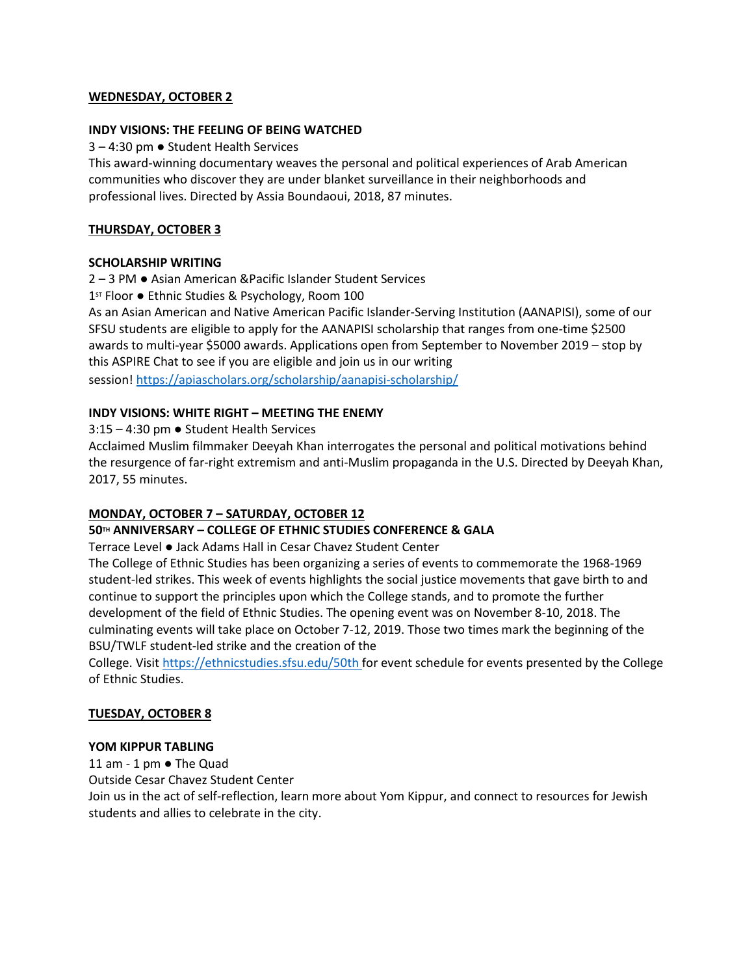### **WEDNESDAY, OCTOBER 2**

### **INDY VISIONS: THE FEELING OF BEING WATCHED**

3 – 4:30 pm ● Student Health Services

This award-winning documentary weaves the personal and political experiences of Arab American communities who discover they are under blanket surveillance in their neighborhoods and professional lives. Directed by Assia Boundaoui, 2018, 87 minutes.

# **THURSDAY, OCTOBER 3**

### **SCHOLARSHIP WRITING**

2 – 3 PM ● Asian American &Pacific Islander Student Services

1<sup>st</sup> Floor ● Ethnic Studies & Psychology, Room 100

As an Asian American and Native American Pacific Islander-Serving Institution (AANAPISI), some of our SFSU students are eligible to apply for the AANAPISI scholarship that ranges from one-time \$2500 awards to multi-year \$5000 awards. Applications open from September to November 2019 – stop by this ASPIRE Chat to see if you are eligible and join us in our writing

session! <https://apiascholars.org/scholarship/aanapisi-scholarship/>

# **INDY VISIONS: WHITE RIGHT – MEETING THE ENEMY**

3:15 – 4:30 pm ● Student Health Services

Acclaimed Muslim filmmaker Deeyah Khan interrogates the personal and political motivations behind the resurgence of far-right extremism and anti-Muslim propaganda in the U.S. Directed by Deeyah Khan, 2017, 55 minutes.

# **MONDAY, OCTOBER 7 – SATURDAY, OCTOBER 12**

# **50TH ANNIVERSARY – COLLEGE OF ETHNIC STUDIES CONFERENCE & GALA**

Terrace Level ● Jack Adams Hall in Cesar Chavez Student Center

The College of Ethnic Studies has been organizing a series of events to commemorate the 1968-1969 student-led strikes. This week of events highlights the social justice movements that gave birth to and continue to support the principles upon which the College stands, and to promote the further development of the field of Ethnic Studies. The opening event was on November 8-10, 2018. The culminating events will take place on October 7-12, 2019. Those two times mark the beginning of the BSU/TWLF student-led strike and the creation of the

College. Visit <https://ethnicstudies.sfsu.edu/50th> for event schedule for events presented by the College of Ethnic Studies.

# **TUESDAY, OCTOBER 8**

### **YOM KIPPUR TABLING**

11 am - 1 pm ● The Quad Outside Cesar Chavez Student Center Join us in the act of self-reflection, learn more about Yom Kippur, and connect to resources for Jewish students and allies to celebrate in the city.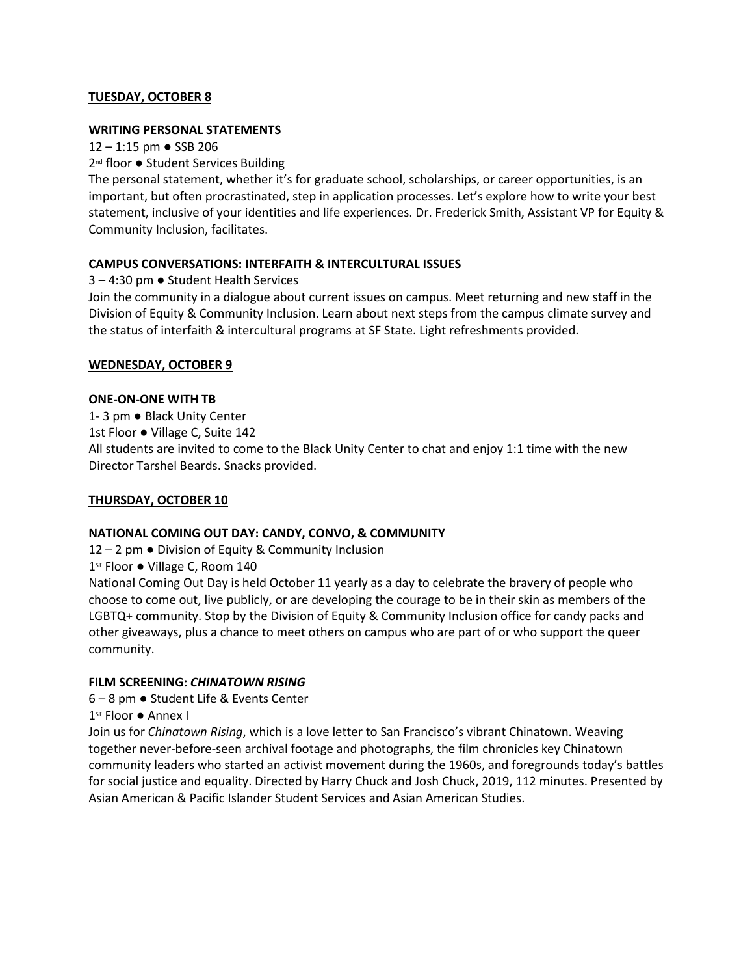# **TUESDAY, OCTOBER 8**

### **WRITING PERSONAL STATEMENTS**

12 – 1:15 pm ● SSB 206

2<sup>nd</sup> floor ● Student Services Building

The personal statement, whether it's for graduate school, scholarships, or career opportunities, is an important, but often procrastinated, step in application processes. Let's explore how to write your best statement, inclusive of your identities and life experiences. Dr. Frederick Smith, Assistant VP for Equity & Community Inclusion, facilitates.

# **CAMPUS CONVERSATIONS: INTERFAITH & INTERCULTURAL ISSUES**

3 – 4:30 pm ● Student Health Services

Join the community in a dialogue about current issues on campus. Meet returning and new staff in the Division of Equity & Community Inclusion. Learn about next steps from the campus climate survey and the status of interfaith & intercultural programs at SF State. Light refreshments provided.

# **WEDNESDAY, OCTOBER 9**

### **ONE-ON-ONE WITH TB**

1- 3 pm ● Black Unity Center 1st Floor ● Village C, Suite 142 All students are invited to come to the Black Unity Center to chat and enjoy 1:1 time with the new Director Tarshel Beards. Snacks provided.

# **THURSDAY, OCTOBER 10**

# **NATIONAL COMING OUT DAY: CANDY, CONVO, & COMMUNITY**

12 – 2 pm ● Division of Equity & Community Inclusion

1<sup>st</sup> Floor ● Village C, Room 140

National Coming Out Day is held October 11 yearly as a day to celebrate the bravery of people who choose to come out, live publicly, or are developing the courage to be in their skin as members of the LGBTQ+ community. Stop by the Division of Equity & Community Inclusion office for candy packs and other giveaways, plus a chance to meet others on campus who are part of or who support the queer community.

### **FILM SCREENING:** *CHINATOWN RISING*

6 – 8 pm ● Student Life & Events Center

1st Floor ● Annex I

Join us for *Chinatown Rising*, which is a love letter to San Francisco's vibrant Chinatown. Weaving together never-before-seen archival footage and photographs, the film chronicles key Chinatown community leaders who started an activist movement during the 1960s, and foregrounds today's battles for social justice and equality. Directed by Harry Chuck and Josh Chuck, 2019, 112 minutes. Presented by Asian American & Pacific Islander Student Services and Asian American Studies.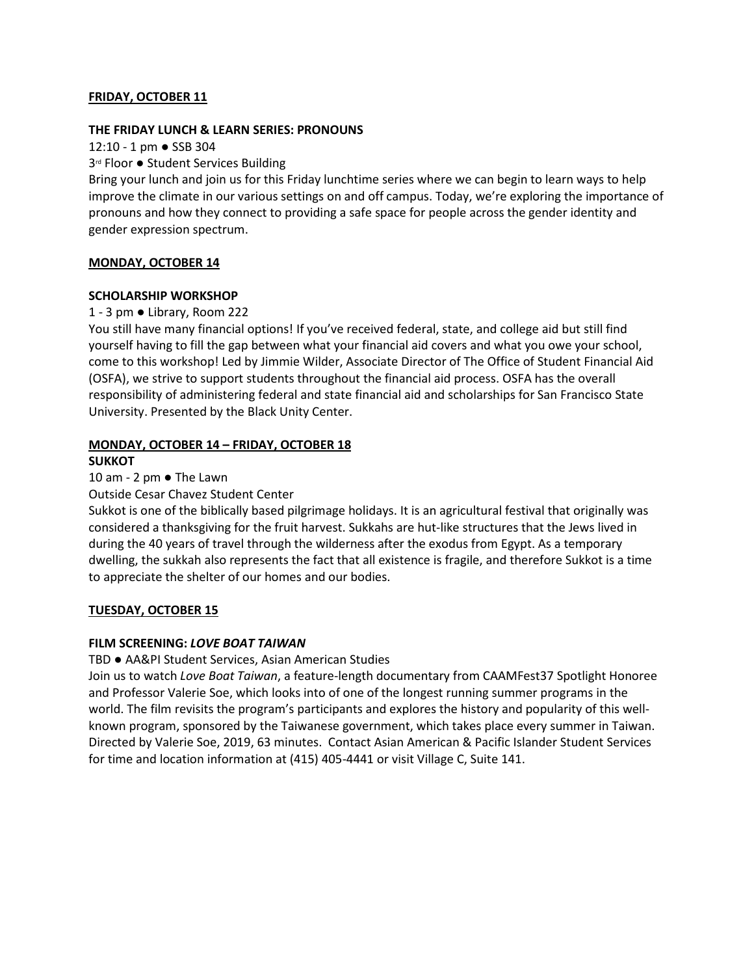### **FRIDAY, OCTOBER 11**

#### **THE FRIDAY LUNCH & LEARN SERIES: PRONOUNS**

12:10 - 1 pm ● SSB 304

3<sup>rd</sup> Floor ● Student Services Building

Bring your lunch and join us for this Friday lunchtime series where we can begin to learn ways to help improve the climate in our various settings on and off campus. Today, we're exploring the importance of pronouns and how they connect to providing a safe space for people across the gender identity and gender expression spectrum.

### **MONDAY, OCTOBER 14**

#### **SCHOLARSHIP WORKSHOP**

#### 1 - 3 pm ● Library, Room 222

You still have many financial options! If you've received federal, state, and college aid but still find yourself having to fill the gap between what your financial aid covers and what you owe your school, come to this workshop! Led by Jimmie Wilder, Associate Director of The Office of Student Financial Aid (OSFA), we strive to support students throughout the financial aid process. OSFA has the overall responsibility of administering federal and state financial aid and scholarships for San Francisco State University. Presented by the Black Unity Center.

# **MONDAY, OCTOBER 14 – FRIDAY, OCTOBER 18**

#### **SUKKOT**

### 10 am - 2 pm ● The Lawn

### Outside Cesar Chavez Student Center

Sukkot is one of the biblically based pilgrimage holidays. It is an agricultural festival that originally was considered a thanksgiving for the fruit harvest. Sukkahs are hut-like structures that the Jews lived in during the 40 years of travel through the wilderness after the exodus from Egypt. As a temporary dwelling, the sukkah also represents the fact that all existence is fragile, and therefore Sukkot is a time to appreciate the shelter of our homes and our bodies.

### **TUESDAY, OCTOBER 15**

### **FILM SCREENING:** *LOVE BOAT TAIWAN*

#### TBD ● AA&PI Student Services, Asian American Studies

Join us to watch *Love Boat Taiwan*, a feature-length documentary from CAAMFest37 Spotlight Honoree and Professor Valerie Soe, which looks into of one of the longest running summer programs in the world. The film revisits the program's participants and explores the history and popularity of this wellknown program, sponsored by the Taiwanese government, which takes place every summer in Taiwan. Directed by Valerie Soe, 2019, 63 minutes. Contact Asian American & Pacific Islander Student Services for time and location information at (415) 405-4441 or visit Village C, Suite 141.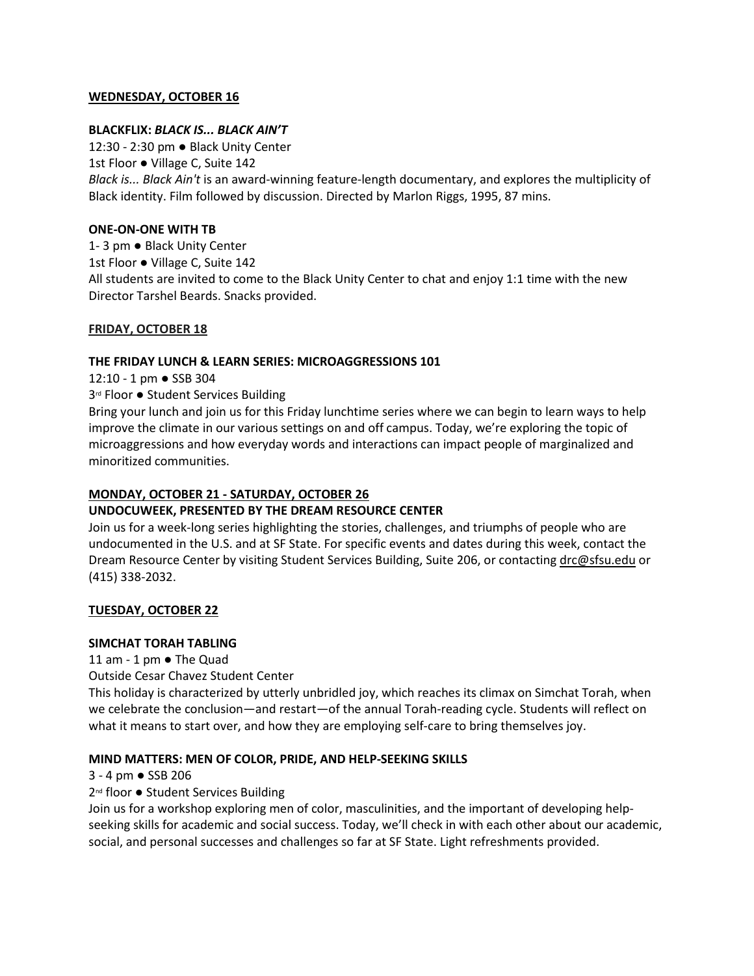### **WEDNESDAY, OCTOBER 16**

### **BLACKFLIX:** *BLACK IS... BLACK AIN'T*

12:30 - 2:30 pm ● Black Unity Center 1st Floor ● Village C, Suite 142 *Black is... Black Ain't* is an award-winning feature-length documentary, and explores the multiplicity of Black identity. Film followed by discussion. Directed by Marlon Riggs, 1995, 87 mins.

### **ONE-ON-ONE WITH TB**

1- 3 pm ● Black Unity Center 1st Floor ● Village C, Suite 142 All students are invited to come to the Black Unity Center to chat and enjoy 1:1 time with the new Director Tarshel Beards. Snacks provided.

# **FRIDAY, OCTOBER 18**

### **THE FRIDAY LUNCH & LEARN SERIES: MICROAGGRESSIONS 101**

12:10 - 1 pm ● SSB 304

3<sup>rd</sup> Floor ● Student Services Building

Bring your lunch and join us for this Friday lunchtime series where we can begin to learn ways to help improve the climate in our various settings on and off campus. Today, we're exploring the topic of microaggressions and how everyday words and interactions can impact people of marginalized and minoritized communities.

# **MONDAY, OCTOBER 21 - SATURDAY, OCTOBER 26**

# **UNDOCUWEEK, PRESENTED BY THE DREAM RESOURCE CENTER**

Join us for a week-long series highlighting the stories, challenges, and triumphs of people who are undocumented in the U.S. and at SF State. For specific events and dates during this week, contact the Dream Resource Center by visiting Student Services Building, Suite 206, or contacting [drc@sfsu.edu](mailto:drc@sfsu.edu) or (415) 338-2032.

# **TUESDAY, OCTOBER 22**

# **SIMCHAT TORAH TABLING**

11 am - 1 pm ● The Quad

Outside Cesar Chavez Student Center

This holiday is characterized by utterly unbridled joy, which reaches its climax on Simchat Torah, when we celebrate the conclusion—and restart—of the annual Torah-reading cycle. Students will reflect on what it means to start over, and how they are employing self-care to bring themselves joy.

# **MIND MATTERS: MEN OF COLOR, PRIDE, AND HELP-SEEKING SKILLS**

3 - 4 pm ● SSB 206

2<sup>nd</sup> floor ● Student Services Building

Join us for a workshop exploring men of color, masculinities, and the important of developing helpseeking skills for academic and social success. Today, we'll check in with each other about our academic, social, and personal successes and challenges so far at SF State. Light refreshments provided.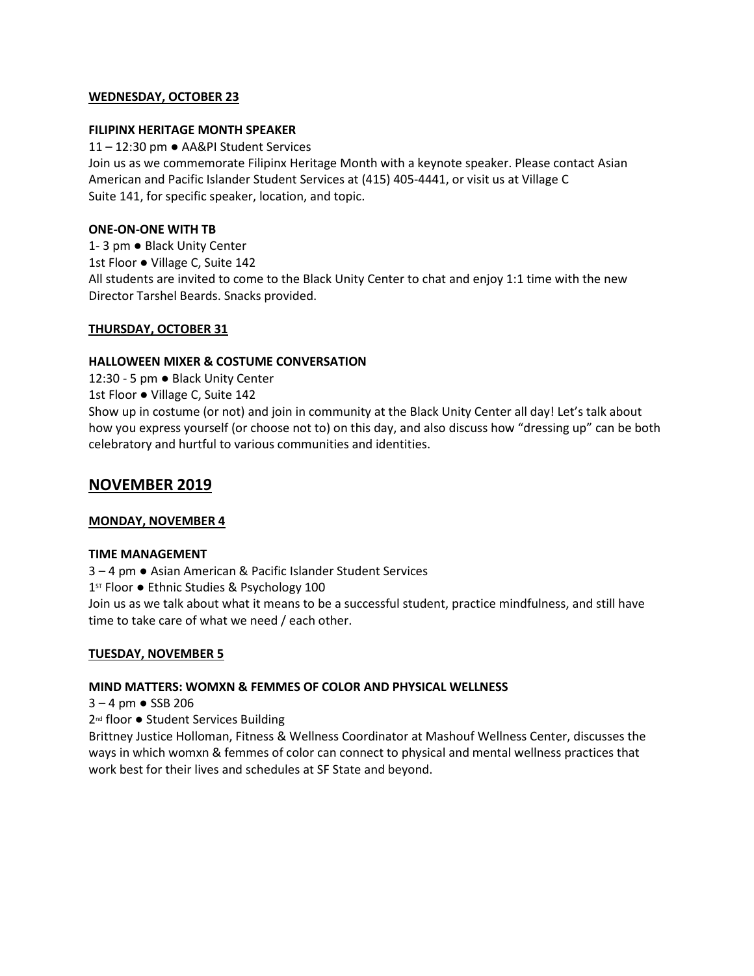### **WEDNESDAY, OCTOBER 23**

### **FILIPINX HERITAGE MONTH SPEAKER**

11 – 12:30 pm ● AA&PI Student Services Join us as we commemorate Filipinx Heritage Month with a keynote speaker. Please contact Asian American and Pacific Islander Student Services at (415) 405-4441, or visit us at Village C Suite 141, for specific speaker, location, and topic.

### **ONE-ON-ONE WITH TB**

1- 3 pm ● Black Unity Center 1st Floor ● Village C, Suite 142 All students are invited to come to the Black Unity Center to chat and enjoy 1:1 time with the new Director Tarshel Beards. Snacks provided.

# **THURSDAY, OCTOBER 31**

# **HALLOWEEN MIXER & COSTUME CONVERSATION**

12:30 - 5 pm ● Black Unity Center

1st Floor ● Village C, Suite 142

Show up in costume (or not) and join in community at the Black Unity Center all day! Let's talk about how you express yourself (or choose not to) on this day, and also discuss how "dressing up" can be both celebratory and hurtful to various communities and identities.

# **NOVEMBER 2019**

# **MONDAY, NOVEMBER 4**

### **TIME MANAGEMENT**

3 – 4 pm ● Asian American & Pacific Islander Student Services 1<sup>st</sup> Floor ● Ethnic Studies & Psychology 100 Join us as we talk about what it means to be a successful student, practice mindfulness, and still have time to take care of what we need / each other.

# **TUESDAY, NOVEMBER 5**

# **MIND MATTERS: WOMXN & FEMMES OF COLOR AND PHYSICAL WELLNESS**

3 – 4 pm ● SSB 206

2<sup>nd</sup> floor ● Student Services Building

Brittney Justice Holloman, Fitness & Wellness Coordinator at Mashouf Wellness Center, discusses the ways in which womxn & femmes of color can connect to physical and mental wellness practices that work best for their lives and schedules at SF State and beyond.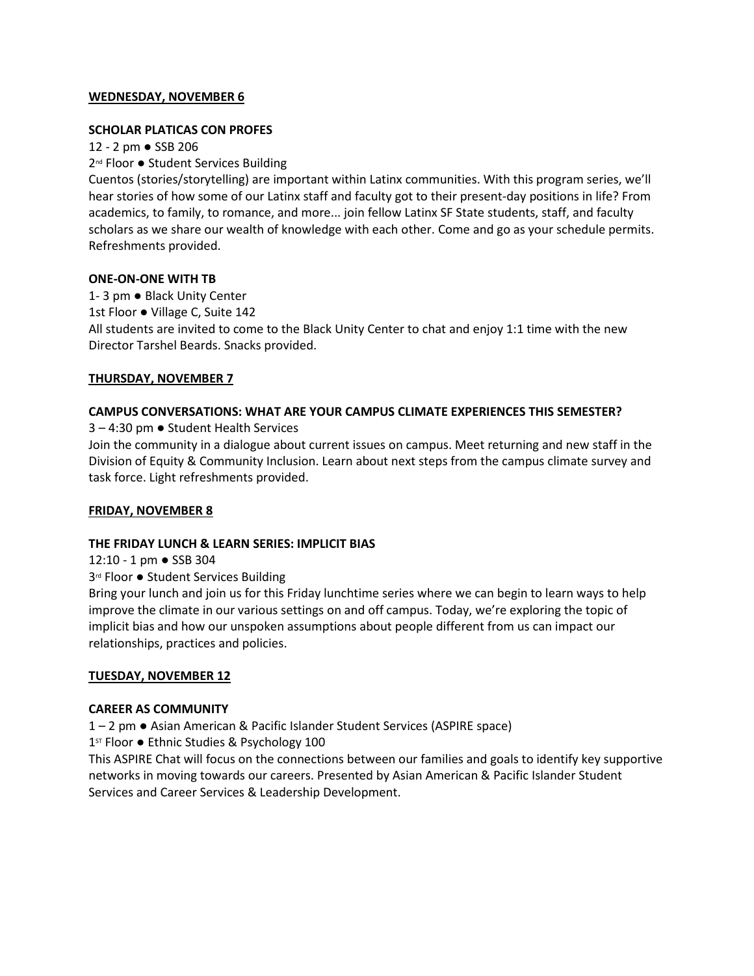### **WEDNESDAY, NOVEMBER 6**

### **SCHOLAR PLATICAS CON PROFES**

12 - 2 pm ● SSB 206 2<sup>nd</sup> Floor ● Student Services Building

Cuentos (stories/storytelling) are important within Latinx communities. With this program series, we'll hear stories of how some of our Latinx staff and faculty got to their present-day positions in life? From academics, to family, to romance, and more... join fellow Latinx SF State students, staff, and faculty scholars as we share our wealth of knowledge with each other. Come and go as your schedule permits. Refreshments provided.

### **ONE-ON-ONE WITH TB**

1- 3 pm ● Black Unity Center 1st Floor ● Village C, Suite 142 All students are invited to come to the Black Unity Center to chat and enjoy 1:1 time with the new Director Tarshel Beards. Snacks provided.

### **THURSDAY, NOVEMBER 7**

# **CAMPUS CONVERSATIONS: WHAT ARE YOUR CAMPUS CLIMATE EXPERIENCES THIS SEMESTER?**

3 – 4:30 pm ● Student Health Services

Join the community in a dialogue about current issues on campus. Meet returning and new staff in the Division of Equity & Community Inclusion. Learn about next steps from the campus climate survey and task force. Light refreshments provided.

# **FRIDAY, NOVEMBER 8**

### **THE FRIDAY LUNCH & LEARN SERIES: IMPLICIT BIAS**

12:10 - 1 pm ● SSB 304

3<sup>rd</sup> Floor ● Student Services Building

Bring your lunch and join us for this Friday lunchtime series where we can begin to learn ways to help improve the climate in our various settings on and off campus. Today, we're exploring the topic of implicit bias and how our unspoken assumptions about people different from us can impact our relationships, practices and policies.

# **TUESDAY, NOVEMBER 12**

### **CAREER AS COMMUNITY**

1 – 2 pm ● Asian American & Pacific Islander Student Services (ASPIRE space)

1<sup>st</sup> Floor ● Ethnic Studies & Psychology 100

This ASPIRE Chat will focus on the connections between our families and goals to identify key supportive networks in moving towards our careers. Presented by Asian American & Pacific Islander Student Services and Career Services & Leadership Development.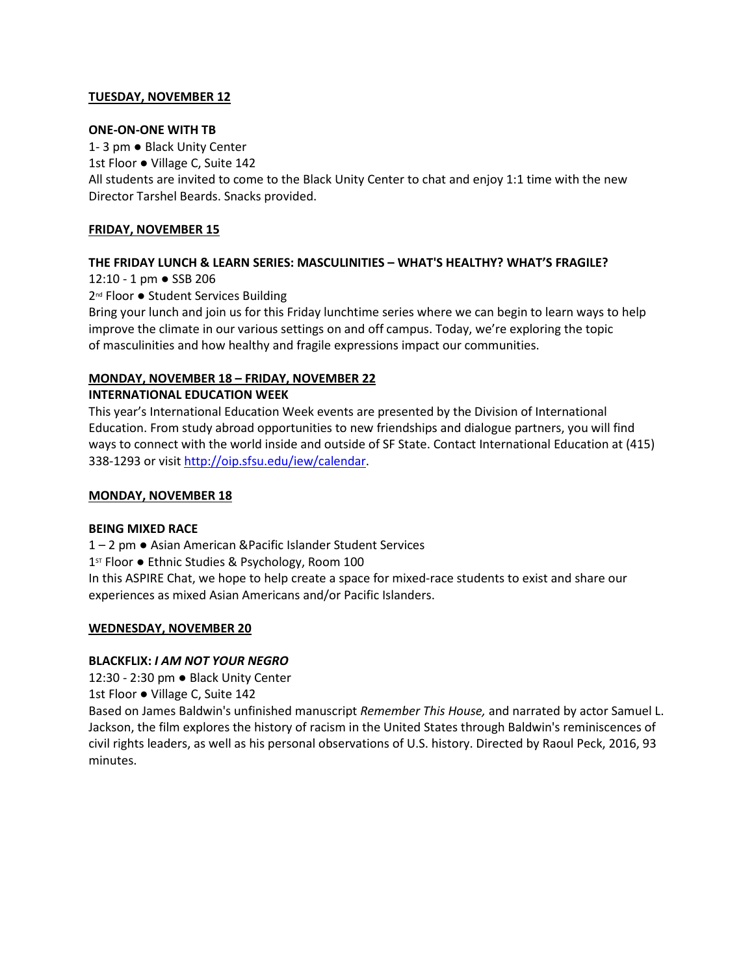# **TUESDAY, NOVEMBER 12**

### **ONE-ON-ONE WITH TB**

1- 3 pm ● Black Unity Center 1st Floor ● Village C, Suite 142 All students are invited to come to the Black Unity Center to chat and enjoy 1:1 time with the new Director Tarshel Beards. Snacks provided.

# **FRIDAY, NOVEMBER 15**

# **THE FRIDAY LUNCH & LEARN SERIES: MASCULINITIES – WHAT'S HEALTHY? WHAT'S FRAGILE?**

12:10 - 1 pm ● SSB 206

2<sup>nd</sup> Floor ● Student Services Building

Bring your lunch and join us for this Friday lunchtime series where we can begin to learn ways to help improve the climate in our various settings on and off campus. Today, we're exploring the topic of masculinities and how healthy and fragile expressions impact our communities.

### **MONDAY, NOVEMBER 18 – FRIDAY, NOVEMBER 22**

### **INTERNATIONAL EDUCATION WEEK**

This year's International Education Week events are presented by the Division of International Education. From study abroad opportunities to new friendships and dialogue partners, you will find ways to connect with the world inside and outside of SF State. Contact International Education at (415) 338-1293 or visi[t http://oip.sfsu.edu/iew/calendar.](http://oip.sfsu.edu/iew/calendar)

### **MONDAY, NOVEMBER 18**

### **BEING MIXED RACE**

1 – 2 pm ● Asian American &Pacific Islander Student Services

1<sup>st</sup> Floor . Ethnic Studies & Psychology, Room 100

In this ASPIRE Chat, we hope to help create a space for mixed-race students to exist and share our experiences as mixed Asian Americans and/or Pacific Islanders.

# **WEDNESDAY, NOVEMBER 20**

### **BLACKFLIX:** *I AM NOT YOUR NEGRO*

12:30 - 2:30 pm ● Black Unity Center

1st Floor ● Village C, Suite 142

Based on James Baldwin's unfinished manuscript *Remember This House,* and narrated by actor Samuel L. Jackson, the film explores the history of racism in the United States through Baldwin's reminiscences of civil rights leaders, as well as his personal observations of U.S. history. Directed by Raoul Peck, 2016, 93 minutes.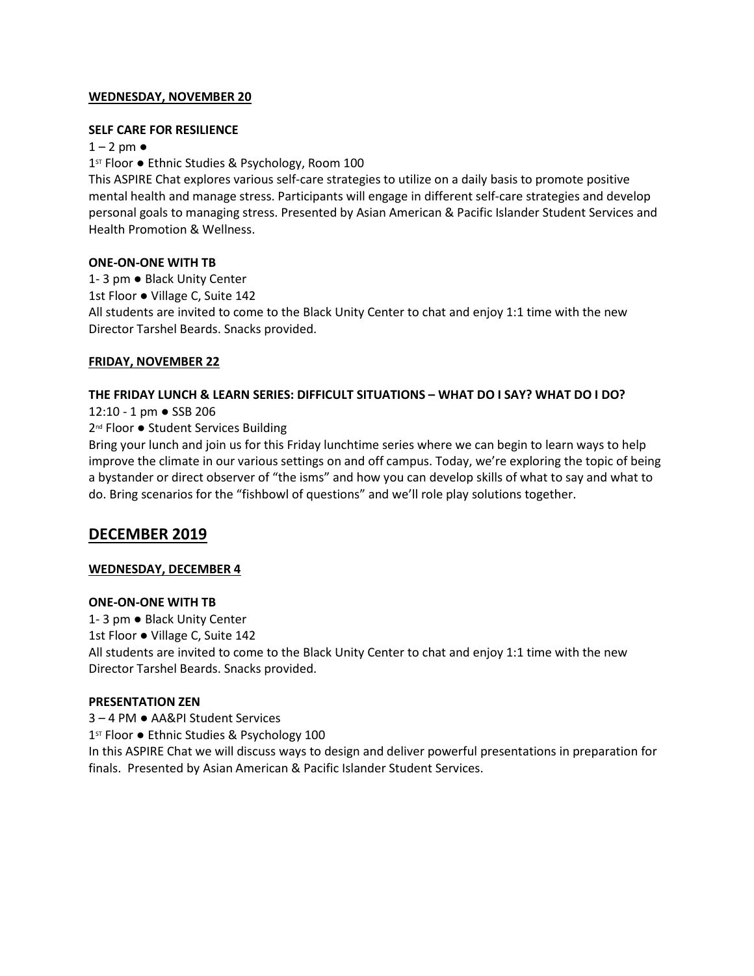### **WEDNESDAY, NOVEMBER 20**

### **SELF CARE FOR RESILIENCE**

### $1 - 2$  pm  $\bullet$

1<sup>st</sup> Floor ● Ethnic Studies & Psychology, Room 100

This ASPIRE Chat explores various self-care strategies to utilize on a daily basis to promote positive mental health and manage stress. Participants will engage in different self-care strategies and develop personal goals to managing stress. Presented by Asian American & Pacific Islander Student Services and Health Promotion & Wellness.

### **ONE-ON-ONE WITH TB**

1- 3 pm ● Black Unity Center 1st Floor ● Village C, Suite 142 All students are invited to come to the Black Unity Center to chat and enjoy 1:1 time with the new Director Tarshel Beards. Snacks provided.

# **FRIDAY, NOVEMBER 22**

### **THE FRIDAY LUNCH & LEARN SERIES: DIFFICULT SITUATIONS – WHAT DO I SAY? WHAT DO I DO?**

12:10 - 1 pm ● SSB 206

# 2<sup>nd</sup> Floor ● Student Services Building

Bring your lunch and join us for this Friday lunchtime series where we can begin to learn ways to help improve the climate in our various settings on and off campus. Today, we're exploring the topic of being a bystander or direct observer of "the isms" and how you can develop skills of what to say and what to do. Bring scenarios for the "fishbowl of questions" and we'll role play solutions together.

# **DECEMBER 2019**

# **WEDNESDAY, DECEMBER 4**

# **ONE-ON-ONE WITH TB**

1- 3 pm ● Black Unity Center 1st Floor ● Village C, Suite 142 All students are invited to come to the Black Unity Center to chat and enjoy 1:1 time with the new Director Tarshel Beards. Snacks provided.

# **PRESENTATION ZEN**

3 – 4 PM ● AA&PI Student Services 1<sup>st</sup> Floor ● Ethnic Studies & Psychology 100 In this ASPIRE Chat we will discuss ways to design and deliver powerful presentations in preparation for finals. Presented by Asian American & Pacific Islander Student Services.